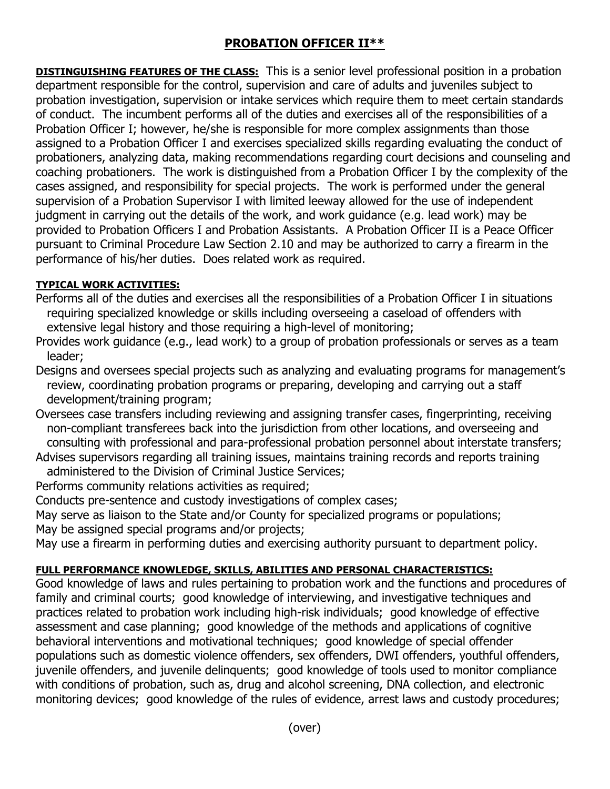## **PROBATION OFFICER II\*\***

**DISTINGUISHING FEATURES OF THE CLASS:** This is a senior level professional position in a probation department responsible for the control, supervision and care of adults and juveniles subject to probation investigation, supervision or intake services which require them to meet certain standards of conduct. The incumbent performs all of the duties and exercises all of the responsibilities of a Probation Officer I; however, he/she is responsible for more complex assignments than those assigned to a Probation Officer I and exercises specialized skills regarding evaluating the conduct of probationers, analyzing data, making recommendations regarding court decisions and counseling and coaching probationers. The work is distinguished from a Probation Officer I by the complexity of the cases assigned, and responsibility for special projects. The work is performed under the general supervision of a Probation Supervisor I with limited leeway allowed for the use of independent judgment in carrying out the details of the work, and work guidance (e.g. lead work) may be provided to Probation Officers I and Probation Assistants. A Probation Officer II is a Peace Officer pursuant to Criminal Procedure Law Section 2.10 and may be authorized to carry a firearm in the performance of his/her duties. Does related work as required.

## **TYPICAL WORK ACTIVITIES:**

Performs all of the duties and exercises all the responsibilities of a Probation Officer I in situations requiring specialized knowledge or skills including overseeing a caseload of offenders with extensive legal history and those requiring a high-level of monitoring;

Provides work guidance (e.g., lead work) to a group of probation professionals or serves as a team leader;

Designs and oversees special projects such as analyzing and evaluating programs for management's review, coordinating probation programs or preparing, developing and carrying out a staff development/training program;

Oversees case transfers including reviewing and assigning transfer cases, fingerprinting, receiving non-compliant transferees back into the jurisdiction from other locations, and overseeing and consulting with professional and para-professional probation personnel about interstate transfers;

Advises supervisors regarding all training issues, maintains training records and reports training administered to the Division of Criminal Justice Services;

Performs community relations activities as required;

Conducts pre-sentence and custody investigations of complex cases;

May serve as liaison to the State and/or County for specialized programs or populations; May be assigned special programs and/or projects;

May use a firearm in performing duties and exercising authority pursuant to department policy.

## **FULL PERFORMANCE KNOWLEDGE, SKILLS, ABILITIES AND PERSONAL CHARACTERISTICS:**

Good knowledge of laws and rules pertaining to probation work and the functions and procedures of family and criminal courts; good knowledge of interviewing, and investigative techniques and practices related to probation work including high-risk individuals; good knowledge of effective assessment and case planning; good knowledge of the methods and applications of cognitive behavioral interventions and motivational techniques; good knowledge of special offender populations such as domestic violence offenders, sex offenders, DWI offenders, youthful offenders, juvenile offenders, and juvenile delinquents; good knowledge of tools used to monitor compliance with conditions of probation, such as, drug and alcohol screening, DNA collection, and electronic monitoring devices; good knowledge of the rules of evidence, arrest laws and custody procedures;